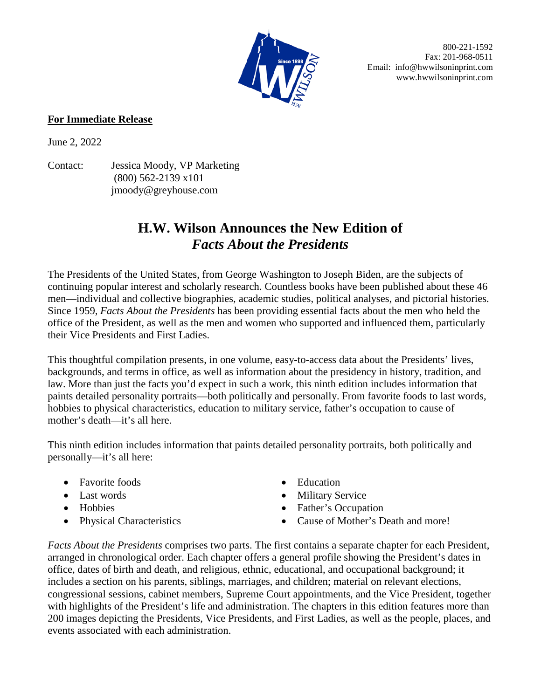

 800-221-1592 Fax: 201-968-0511 Email: info@hwwilsoninprint.com www.hwwilsoninprint.com

## **For Immediate Release**

June 2, 2022

Contact: Jessica Moody, VP Marketing (800) 562-2139 x101 jmoody@greyhouse.com

## **H.W. Wilson Announces the New Edition of**  *Facts About the Presidents*

The Presidents of the United States, from George Washington to Joseph Biden, are the subjects of continuing popular interest and scholarly research. Countless books have been published about these 46 men—individual and collective biographies, academic studies, political analyses, and pictorial histories. Since 1959, *Facts About the Presidents* has been providing essential facts about the men who held the office of the President, as well as the men and women who supported and influenced them, particularly their Vice Presidents and First Ladies.

This thoughtful compilation presents, in one volume, easy-to-access data about the Presidents' lives, backgrounds, and terms in office, as well as information about the presidency in history, tradition, and law. More than just the facts you'd expect in such a work, this ninth edition includes information that paints detailed personality portraits—both politically and personally. From favorite foods to last words, hobbies to physical characteristics, education to military service, father's occupation to cause of mother's death—it's all here.

This ninth edition includes information that paints detailed personality portraits, both politically and personally—it's all here:

- Favorite foods
- Last words
- Hobbies
- Physical Characteristics
- Education
- Military Service
- Father's Occupation
- Cause of Mother's Death and more!

*Facts About the Presidents* comprises two parts. The first contains a separate chapter for each President, arranged in chronological order. Each chapter offers a general profile showing the President's dates in office, dates of birth and death, and religious, ethnic, educational, and occupational background; it includes a section on his parents, siblings, marriages, and children; material on relevant elections, congressional sessions, cabinet members, Supreme Court appointments, and the Vice President, together with highlights of the President's life and administration. The chapters in this edition features more than 200 images depicting the Presidents, Vice Presidents, and First Ladies, as well as the people, places, and events associated with each administration.